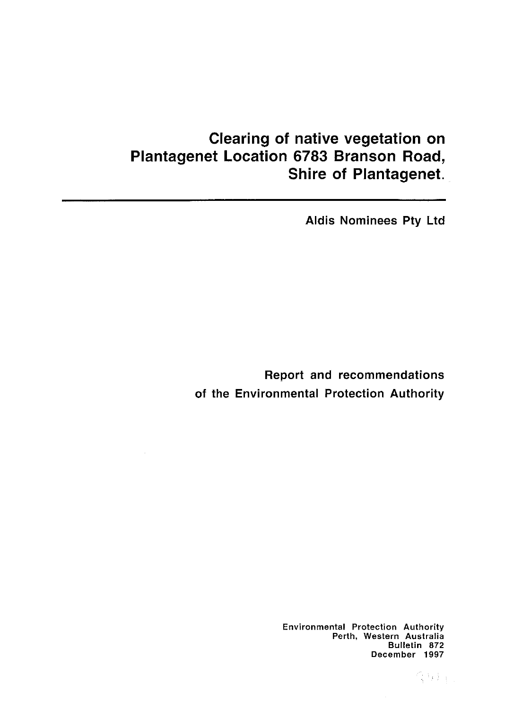# **Clearing of native vegetation on Plantagenet Location 6783 Branson Road, Shire of Plantagenet.**

Aldis Nominees Pty Ltd

Report and recommendations of the Environmental Protection Authority

> Environmental Protection Authority Perth, Western Australia Bulletin 872 December 1997

> > 得男后!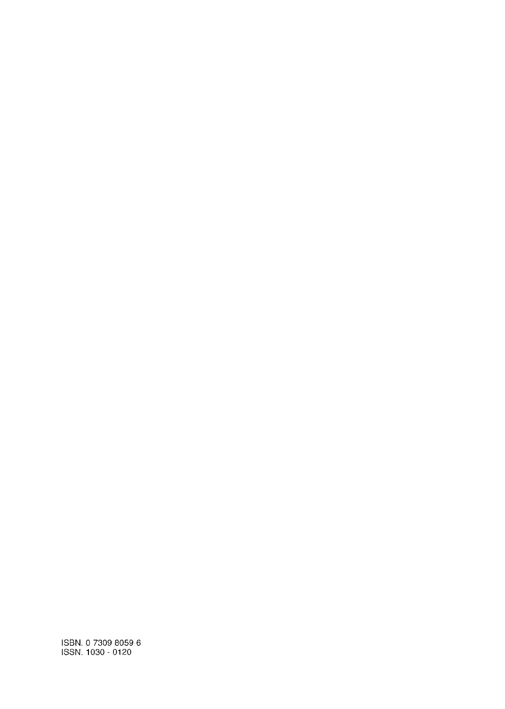ISBN. 0 7309 8059 6 ISSN. 1030 - 0120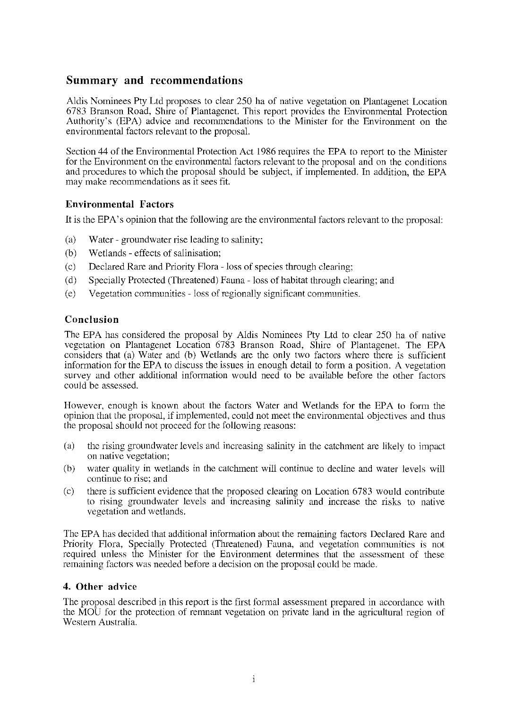## **Summary and recommendations**

Aldis Nominees Pty Ltd proposes to clear 250 ha of native vegetation on Plantagenet Location 6783 Branson Road, Shire of Plantagenet. This report provides the Environmental Protection Authority's (EPA) advice and recommendations to the Minister for the Environment on the environmental factors relevant to the proposal.

Section 44 of the Environmental Protection Act 1986 requires the EPA to report to the Minister for the Environment on the environmental factors relevant to the proposal and on the conditions and procedures to which the proposal should be subject, if implemented. In addition, the EPA may make recommendations as it sees fit.

## **Environmental Factors**

It is the EPA' s opinion that the following are the environmental factors relevant to the proposal:

- (a) Water- groundwater rise leading to salinity;
- (b) Wetlands- effects of salinisation;
- (c) Declared Rare and Priority Flora -loss of species through clearing;
- (d) Specially Protected (Threatened) Fauna- loss of habitat through clearing; and
- (e) Vegetation communities -loss ofregionally significant communities.

## **Conclusion**

The EPA has considered the proposal by Aldis Nominees Pty Ltd to clear 250 ha of native vegetation on Plantagenet Location 6783 Branson Road, Shire of Plantagenet. The EPA considers that (a) Water and (b) Wetlands are the only two factors where there is sufficient information for the EPA to discuss the issues in enough detail to form a position. A vegetation survey and other additional information would need to be available before the other factors could be assessed.

However, enough is known about the factors Water and Wetlands for the EPA to form the opinion that the proposal, if implemented, could not meet the environmental objectives and thus the proposal should not proceed for the following reasons:

- (a) the rising groundwater levels and increasing salinity in the catchment are likely to impact on native vegetation;
- (b) water quality in wetlands in the catchment will continue to decline and water levels will continue to rise: and
- (c) there is sufficient evidence that the proposed clearing on Location 6783 would contribute to rising groundwater levels and increasing salinity and increase the risks to native vegetation and wetlands.

The EPA has decided that additional information about the remaining factors Declared Rare and Priority Flora, Specially Protected (Threatened) Fauna, and vegetation communities is not required unless the Minister for the Environment determines that the assessment of these remaining factors was needed before a decision on the proposal could be made.

## **4. Other advice**

The proposal described in this report is the first formal assessment prepared in accordance with the MOU for the protection of remnant vegetation on private land in the agricultural region of Westem Australia.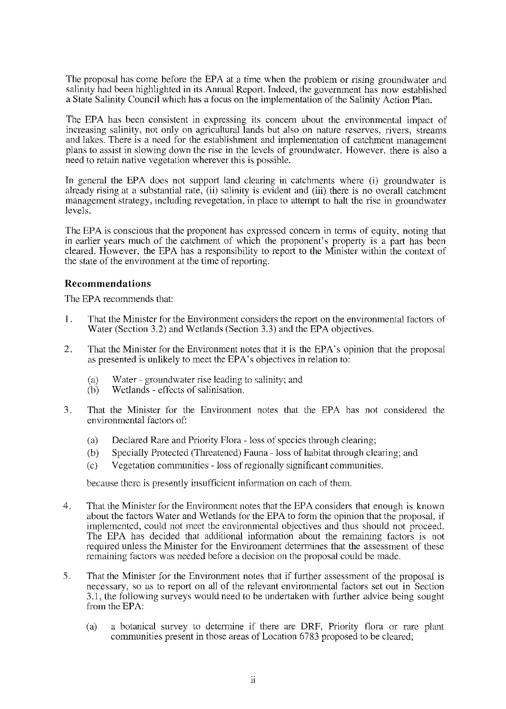The proposal has come before the EPA at a time when the problem or rising groundwater and salinity had been highlighted in its Annual Report. Indeed, the government has now established a State Salinity Council which has a focus on the implementation of the Salinity Action Plan.

The EPA has been consistent in expressing its concern about the environmental impact of increasing salinity, not only on agricultural lands but also on nature reserves, rivers, streams and lakes. There is a need for the establishment and implementation of catchment management plans to assist in slowing down the rise in the levels of groundwater. However, there is also a need to retain native vegetation wherever this is possible.

In general the EPA does not support land clearing in catchments where (i) groundwater is already rising at a substantial rate, (ii) salinity is evident and (iii) there is no overall catchment management strategy, including revegetation, in place to attempt to halt the rise in ground water levels.

The EPA is conscious that the proponent has expressed concern in terms of equity, noting that in earlier years much of the catchment of which the proponent's property is a part has been cleared. However, the EPA has a responsibility to report to the Minister within the context of the state of the environment at the time of reporting.

## **Recommendations**

The EPA recommends that:

- 1 . That the Minister for the Environment considers the report on the environmental factors of Water (Section 3.2) and Wetlands (Section 3.3) and the EPA objectives.
- 2. That the Minister for the Environment notes that it is the EPA' s opinion that the proposal as presented is unlikely to meet the EPA's objectives in relation to:
	- (a) **\Vater- ground water rise leading to salinity; and**
	- (b) Wctlands- effects of salinisation.
- 3. That the Minister for the Environment notes that the EPA has not considered the environmental factors of:
	- (a) Declared Rare and Priority Flora- loss of species through clearing;
	- (b) Specially Protected (Threatened) Fauna -loss of habitat through clearing; and
	- (c) Vegetation communities -loss ofregionally significant communities.

because there is presently insufficient information on each of them.

- 4. That the Minister for the Environment notes that the EPA considers that enough is known about the factors Water and Wetlands for the EPA to form the opinion that the proposal, if implemented, could not meet the environmental objectives and thus should not proceed. The EPA has decided that additional information about the remaining factors is not required unless the Minister for the Environment determines that the assessment of these remaining factors was needed before a decision on the proposal could be made.
- 5. That the Minister for the Environment notes that if further assessment of the proposal is necessary, so as to report on all of the relevant environmental factors set out in Section 3.1, the following surveys would need to be undertaken with further advice being sought from the EPA:
	- (a) a botanical survey to determine if there are DRF, Priority flora or rare plant communities present in those areas of Location 6783 proposed to be cleared;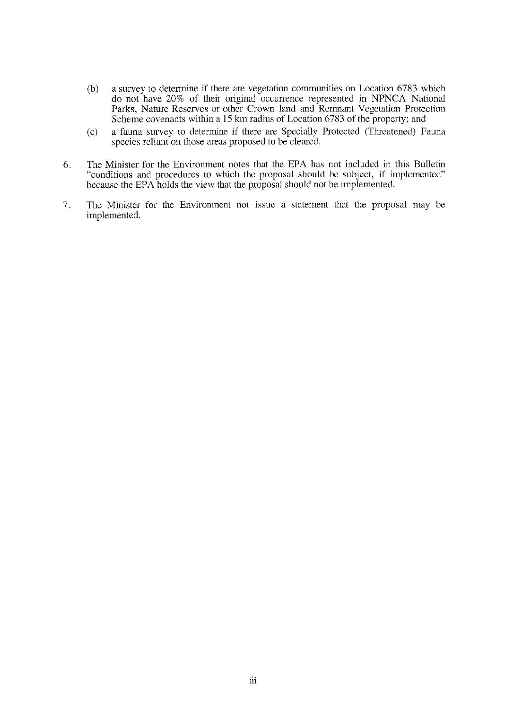- (b) a survey to determine if there are vegetation communities on Location 6783 which do not have 20% of their original occurrence represented in NPNCA National Parks, Nature Reserves or other Crown land and Remnant Vegetation Protection Scheme covenants within a 15 km radius of Location 6783 of the property; and
- (c) a fauna survey to determine if there are Specially Protected (Threatened) Fauna species reliant on those areas proposed to be cleared.
- 6. The Minister for the Environment notes that the EPA has not included in this Bulletin "conditions and procedures to which the proposal should be subject, if implemented" because the EPA holds the view that the proposal should not be implemented.
- 7. The Minister for the Environment not issue a statement that the proposal may be implemented.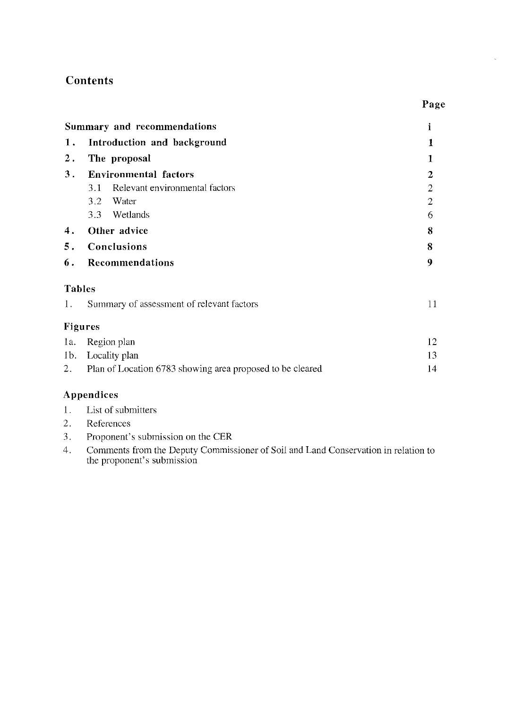# **Contents**

|               | Summary and recommendations                                  | i              |  |  |
|---------------|--------------------------------------------------------------|----------------|--|--|
| 1.            | Introduction and background                                  | 1              |  |  |
| $2$ .         | The proposal                                                 | 1              |  |  |
| 3.            | <b>Environmental factors</b>                                 |                |  |  |
|               | 3.1 Relevant environmental factors                           | $\overline{2}$ |  |  |
|               | 3.2 Water                                                    | $\overline{2}$ |  |  |
|               | 3.3 Wetlands                                                 | 6              |  |  |
| 4.            | Other advice                                                 |                |  |  |
| 5.            | Conclusions                                                  |                |  |  |
| 6.            | Recommendations                                              |                |  |  |
| <b>Tables</b> |                                                              |                |  |  |
| 1.            | Summary of assessment of relevant factors                    |                |  |  |
|               | Figures                                                      |                |  |  |
|               | 1a. Region plan                                              | 12             |  |  |
|               | 1b. Locality plan                                            | 13             |  |  |
|               | 2. Plan of Location 6783 showing area proposed to be cleared | 14             |  |  |
|               | Annendices                                                   |                |  |  |

# **Appendices**

- 1. List of submitters
- 2. References
- 3. Proponent's submission on the CER
- 4. Comments from the Deputy Commissioner of Soil and Land Conservation in relation to the proponent's submission

**Page**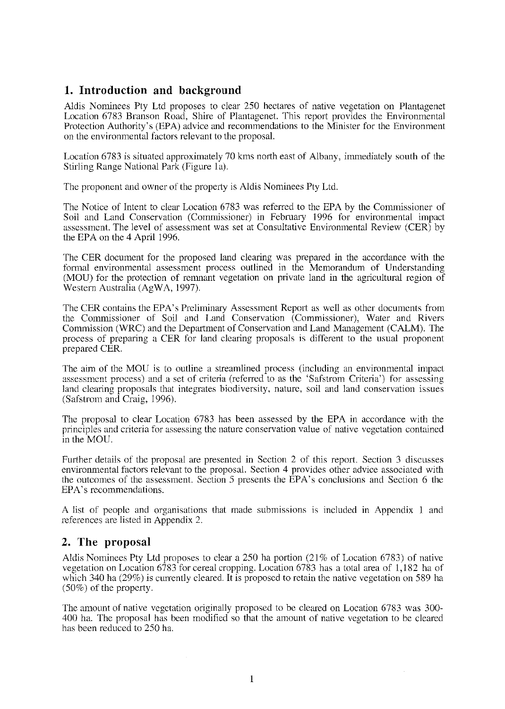# **1. Introduction and background**

Aldis Nominees Pty Ltd proposes to clear 250 hectares of native vegetation on Plantagenet Location 6783 Branson Road, Shire of Plantagenet. This report provides the Environmental Protection Authority's (EPA) advice and recommendations to the Minister for the Environment on the environmental factors relevant to the proposaL

Location 6783 is situated approximately 70 kms north east of Albany, immediately south of the Stirling Range National Park (Figure la).

The proponent and owner of the property is Aldis Nominees Pty Ltd.

The Notice of Intent to clear Location 6783 was refened to the EPA by the Commissioner of Soil and Land Conservation (Commissioner) in February 1996 for environmental impact assessment. The level of assessment was set at Consultative Environmental Review (CER) by the EPA on the 4 April 1996.

The CER document for the proposed land clearing was prepared in the accordance with the fonnal environmental assessment process outlined in the Memorandum of Understanding (MOU) for the protection of renmant vegetation on private land in the agricultural region of Western Australia (AgWA, 1997).

The CER contains the EPA's Preliminary Assessment Report as well as other documents from the Commissioner of Soil and Land Conservation (Commissioner), Water and Rivers Commission (WRC) and the Department of Conservation and Land Management (CALM). The process of preparing a CER for land clearing proposals is different to the usual proponent prepared CER.

The aim of the MOU is to outline a streamlined process (including an environmental impact **assessment process) and a set of criteria (referred to as the 'Safstrom Criteria') for assessing**  land clearing proposals that integrates biodiversity, nature, soil and land conservation issues (Safstrom and Craig, 1996).

The proposal to clear Location 6783 has been assessed by the EPA in accordance with the principles and criteria for assessing the nature conservation value of native vegetation contained in the MOU.

Further details of the proposal are presented in Section 2 of this report. Section 3 discusses environmental factors relevant to the proposal. Section 4 provides other advice associated with the outcomes of the assessment. Section 5 presents the EPA's conclusions and Section 6 the EPA's recommendations.

A list of people and organisations that made submissions ts included m Appendix I and references are listed in Appendix 2.

# **2. The proposal**

Aldis Nominees Ply Ltd proposes to clear a 250 ha portion (21% of Location 6783) of native vegetation on Location 6783 for cereal cropping. Location 6783 has a total area of I, 182 ha of which 340 ha (29%) is currently cleared. It is proposed to retain the native vegetation on 589 ha (50%) of the property.

The amount of native vegetation originally proposed to be cleared on Location 6783 was 300- 400 ha. The proposal has been modified so that the amount of native vegetation to be cleared has been reduced to 250 ha.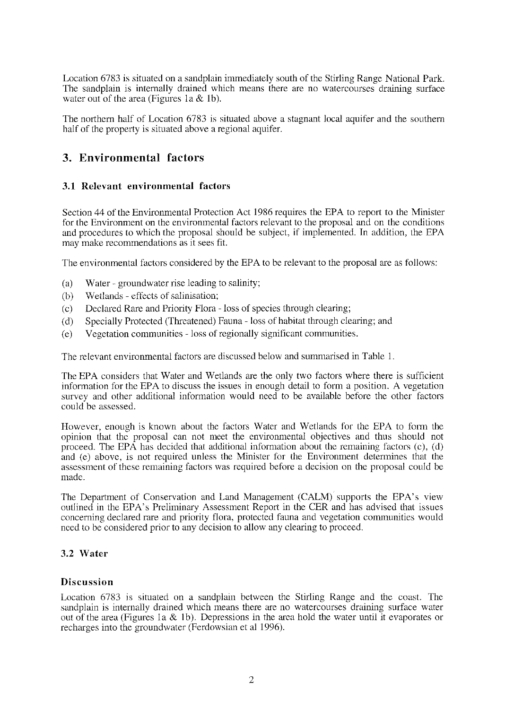Location 6783 is situated on a sandplain immediately south of the Stirling Range National Park. The sandplain is internally drained which means there are no watercourses draining surface water out of the area (Figures 1a  $&$  1b).

The northern half of Location 6783 is situated above a stagnant local aquifer and the southern half of the property is situated above a regional aquifer.

# **3. Environmental factors**

## **3.1 Relevant environmental factors**

Section 44 of the Environmental Protection Act 1986 requires the EPA to report to the Minister for the Environment on the environmental factors relevant to the proposal and on the conditions and procedures to which the proposal should be subject, if implemented. In addition, the EPA may make recommendations as it sees fit.

The environmental factors considered by the EPA to be relevant to the proposal are as follows:

- (a) Water- ground water rise leading to salinity;
- (b) Wetlands- effects of salinisation;
- (c) Declared Rare and Priority Flora -loss of species through clearing;
- (d) Specially Protected (Threatened) Fauna- loss of habitat through clearing; and
- (e) Vegetation communities loss of regionally significant communities.

The relevant environmental factors are discussed below and summarised in Table 1.

The EPA considers that Water and Wetlands are the only two factors where there is sufficient information for the EPA to discuss the issues in enough detail to form a position. A vegetation survey and other additional information would need to be available before the other factors could be assessed.

However, enough is known about the factors Water and Wetlands for the EPA to form the opinion that the proposal can not meet the environmental objectives and thus should not proceed. The EPA has decided that additional information about the remaining factors  $(c)$ ,  $(d)$ and (e) above, is not required unless the Minister for the Environment determines that the assessment of these remaining factors was required before a decision on the proposal could be made.

The Department of Conservation and Land Management (CALM) supports the EPA's view outlined in the EPA's Preliminary Assessment Report in the CER and has advised that issues concerning declared rare and priority flora, protected fauna and vegetation communities would need to be considered prior to any decision to allow any clearing to proceed.

## 3.2 **Water**

## **Discussion**

Location 6783 is situated on a sandplain between the Stirling Range and the coast. The sandplain is internally drained which means there are no watercourses draining surface water out of the area (Figures 1a & 1b). Depressions in the area hold the water until it evaporates or recharges into the groundwater (Ferdowsian et al 1996).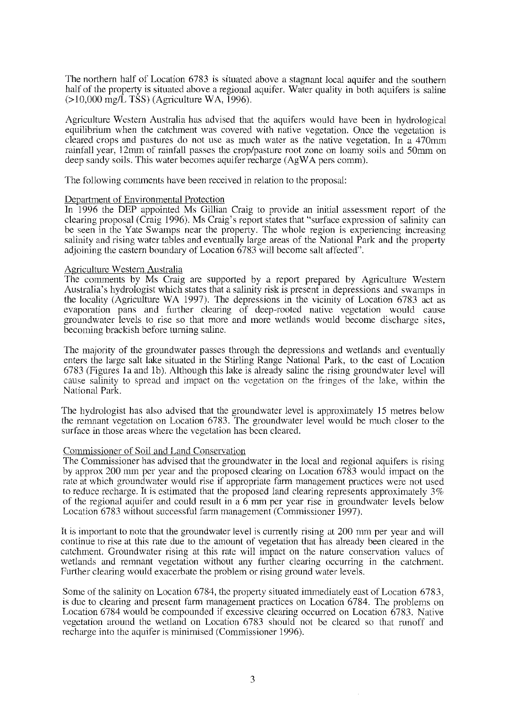The northern half of Location 6783 is situated above a stagnant local aquifer and the southern half of the property is situated above a regional aquifer. Water quality in both aquifers is saline  $(>10,000 \text{ mg/L} \text{ TSS})$  (Agriculture WA, 1996).

Agriculture Western Australia has advised that the aquifers would have been in hydrological equilibrium when the catchment was covered with native vegetation. Once the vegetation is cleared crops and pastures do not use as much water as the native vegetation. In a 470mm rainfall year, 12mm of rainfall passes the crop/pasture root zone on loamy soils and 50mm on deep sandy soils. This water becomes aquifer recharge (AgWA pers comm).

The following comments have been received in relation to the proposal:

#### Department of Environmental Protection

In 1996 the DEP appointed Ms Gillian Craig to provide an initial assessment report of the clearing proposal (Craig 1996). Ms Craig's report states that "surface expression of salinity can be seen in the Yale Swamps near the property. The whole region is experiencing increasing salinity and rising water tables and eventually large areas of the National Park and the property adjoining the eastern boundary of Location 6783 will become salt affected".

#### Agriculture Western Australia

The comments by Ms Craig are supported by a report prepared by Agriculture Western Australia's hydrologist which states that a salinity risk is present in depressions and swamps in the locality (Agriculture WA 1997). The depressions in the vicinity of Location 6783 act as evaporation pans and further clearing of deep-rooted native vegetation would cause groundwater levels to rise so that more and more wetlands would become discharge sites, becoming brackish before turning saline.

The majority of the groundwater passes through the depressions and wetlands and eventually enters the large salt lake situated in the Stirling Range National Park, to the east of Location 6783 (Figures 1a and 1b). Although this lake is already saline the rising ground water level will cause salinity to spread and impact on the vegetation on the fringes of the lake, within the National Park.

The hydrologist has also advised that the groundwater level is approximately 15 metres below the remnant vegetation on Location 6783. The groundwater level would be much closer to the surface in those areas where the vegetation has been cleared.

#### Commissioner of Soil and Land Conservation

The Commissioner has advised that the groundwater in the local and regional aquifers is rising by approx 200 mm per year and the proposed clearing on Location 6783 would impact on the rate at which ground water would rise if appropriate farm management practices were not used to reduce recharge. It is estimated that the proposed land clearing represents approximately 3% of the regional aquifer and could result in a 6 mm per year rise in groundwater levels below Location 6783 without successful farm management (Commissioner 1997).

It is important to note that the groundwater level is currently rising at 200 mm per year and will continue to rise at this rate due to the amount of vegetation that has already been cleared in the catchment. Groundwatcr rising at this rate will impact on the nature conservation values of wetlands and remnant vegetation without any further clearing occurring in the catchment. Further clearing would exacerbate the problem or rising ground water levels.

Some of the salinity on Location 6784, the property situated immediately east of Location 6783, is due to clearing and present farm management practices on Location 6784. The problems on Location 6784 would be compounded if excessive clearing occurred on Location 6783. Native vegetation around the wetland on Location 6783 should not be cleared so that runoff and recharge into the aquifer is minimised (Commissioner 1996).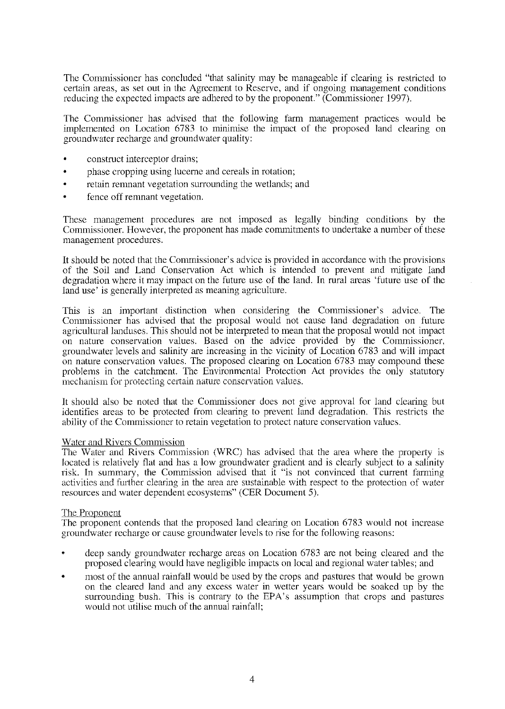The Commissioner has concluded "that salinity may be manageable if clearing is restricted to certain areas, as set out in the Agreement to Reserve, and if ongoing management conditions reducing the expected impacts are adhered to by the proponent." (Commissioner 1997).

The Commissioner has advised that the following farm management practices would be implemented on Location 6783 to minimise the impact of the proposed land clearing on ground water recharge and ground water quality:

- construct interceptor drains;
- phase cropping using lucemc and cereals in rotation;
- retain remnant vegetation surrounding the wetlands; and
- fence off remnant vegetation.

These management procedures are not imposed as legally binding conditions by the Commissioner. However, the proponent has made conunitments to undertake a number of these management procedures.

It should be noted that the Commissioner's advice is provided in accordance with the provisions of the Soil and Land Conservation Act which is intended to prevent and mitigate land degradation where it may impact on the future use of the land. In rural areas 'future use of the land use' is generally interpreted as meaning agriculture.

This is an important distinction when considering the Commissioner's advice. The Connnissioner has advised that the proposal would not cause land degradation on future agricultural landuses. This should not be interpreted to mean that the proposal would not impact on nature conservation values. Based on the advice provided by the Commissioner, groundwater levels and salinity are increasing in the vicinity of Location 6783 and will impact on nature conservation values. The proposed clearing on Location 6783 may compound these problems in the catchment. The Environmental Protection Act provides the only statutory mechanism for protecting certain nature conservation values.

It should also be noted that the Commissioner does not give approval for land cleming but identifies areas to be protected from clearing to prevent land degradation. This restricts the ability of the Commissioner to retain vegetation to protect nature conservation values.

#### Water and Rivers Commission

The Water and Rivers Commission (WRC) has advised that the area where the property is located is relatively flat and has a low ground water gradient and is clearly subject to a salinity risk. In summary, the Commission advised that it "is not convinced that current farming activities and further clearing in the area are sustainable with respect to the protection of water resources and water dependent ecosystems" (CER Document 5).

#### The Proponent

The proponent contends that the proposed land clearing on Location 6783 would not increase groundwater recharge or cause ground water levels to rise for the following reasons:

- deep sandy groundwater recharge areas on Location 6783 are not being cleared and the proposed clearing would have negligible impacts on local and regional water tables; and
- most of the annual rainfall would be used by the crops and pastures that would be grown on the cleared land and any excess water in wetter years would be soaked up by the surrounding bush. This is contrary to the EPA's assumption that crops and pastures would not utilise much of the annual rainfall;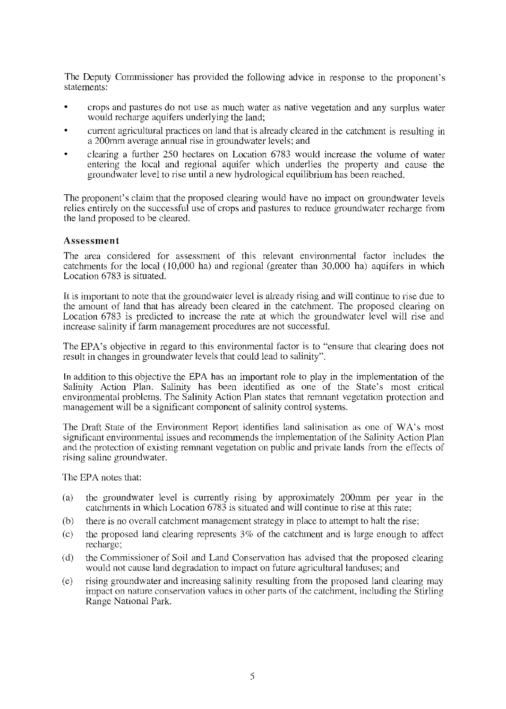The Deputy Commissioner has provided the following advice in response to the proponent's statements:

- crops and pastures do not use as much water as native vegetation and any surplus water would recharge aquifers underlying the land;
- current agricultural practices on land that is already cleared in the catchment is resulting in a 200mm average annual rise in ground water levels; and
- clearing a further 250 hectares on Location 6783 would increase the volume of water entering the local and regional aquifer which underlies the property and cause the groundwater level to rise until a new hydrological equilibrium has been reached.

The proponent's claim that the proposed clearing would have no impact on groundwater levels relies entirely on the successful use of crops and pastures to reduce groundwater recharge from the land proposed to be cleared.

### **Assessment**

The area considered for assessment of this relevant environmental factor includes the catchments for the local  $(10,000 \text{ ha})$  and regional (greater than 30,000 ha) aquifers in which Location 6783 is situated.

It is important to note that the ground water level is already rising and will continue to rise due to the amount of land that has already been cleared in the catchment. The proposed clearing on Location 6783 is predicted to increase the rate at which the groundwater level will rise and increase salinity if farm management procedures are not successful.

The EPA's objective in regard to this environmental factor is to "ensure that clearing does not result in changes in ground water levels that could lead to salinity".

In addition to this obiective the EPA has an important role to plav in the implementation of the Salinity Action Plan. Salinity has been identified as one of the State's most critical environmental problems. The Salinity Action Plan states that remnant vegetation protection and management will be a significant component of salinity control systems.

The Draft State of the Environment Report identifies land salinisation as one of WA's most significant environmental issues and recommends the implementation of the Salinity Action Plan and the protection of existing remnant vegetation on public and private lands from the effects of rising saline ground water.

The EPA notes that:

- (a) the groundwater level is currently rising by approximately 200mm per year in the catchments in which Location 6783 is situated and will continue to rise at this rate;
- (b) there is no overall catchment management strategy in place to attempt to halt the rise;
- (c) the proposed land clearing represents  $3\%$  of the catchment and is large enough to affect recharge;
- (d) the Commissioner of Soil and Land Conservation has advised that the proposed clearing would not cause land degradation to impact on future agricultural landuses; and
- (e) rising groundwater and increasing salinity resulting from the proposed land clearing may impact on nature conservation values in other parts of the catchment, including the Stirling Range National Park.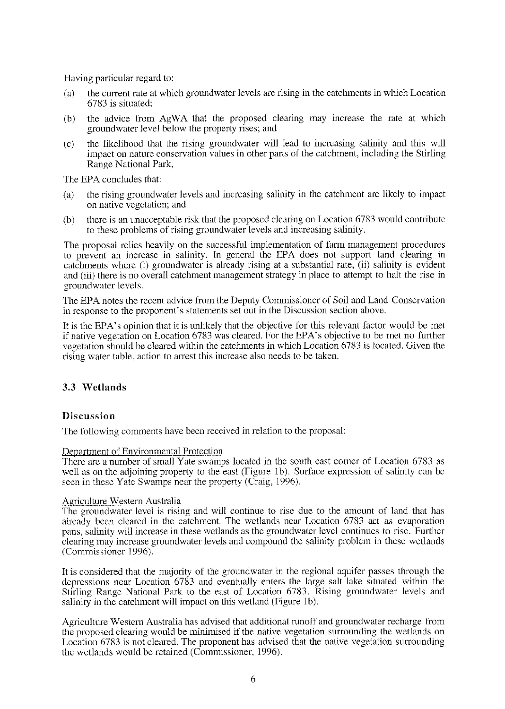Having particular regard to:

- (a) the current rate at which groundwater levels are rising in the catchments in which Location 6783 is situated;
- (b) the advice from AgWA that the proposed clearing may increase the rate at which ground water level below the property rises; and
- (c) the likelihood that the rising groundwater will lead to increasing salinity and this will impact on nature conservation values in other parts of the catchment, including the Stirling Range National Park,

The EPA concludes that:

- (a) the rising groundwater levels and increasing salinity in the catchment are likely to impact on native vegetation; and
- (b) there is an unacceptable risk that the proposed clearing on Location 6783 would contribute to these problems of rising ground water levels and increasing salinity.

The proposal relies heavily on the successful implementation of farm management procedures to prevent an increase in salinity. In general the EPA does not support land clearing in catchments where (i) groundwater is already rising at a substantial rate, (ii) salinity is evident and (iii) there is no overall catchment management strategy in place to attempt to halt the rise in ground water levels.

The EPA notes the recent advice from the Deputy Commissioner of Soil and Land Conservation in response to the proponent's statements set out in the Discussion section above.

It is the EPA's opinion that it is unlikely that the objective for this relevant factor would be met if native vegetation on Location 6783 was cleared. For the EPA's objective to be met no further vegetation should be cleared within the catchments in which Location 6783 is located. Given the rising water table, action to arrest this increase also needs to be taken.

## 3.3 **Wetlands**

#### **Discussion**

The following comments have been received in relation to the proposal:

Department of Environmental Protection

There are a number of small Yate swamps located in the south east corner of Location 6783 as well as on the adjoining property to the east (Figure 1b). Surface expression of salinity can be seen in these Yate Swamps near the property (Craig, 1996).

#### Agriculture Western Australia

The groundwater level is rising and will continue to rise due to the amount of land that has already been cleared in the catchment. The wetlands near Location 6783 act as evaporation pans, salinity will increase in these wetlands as the groundwater level continues to rise. Further clearing may increase groundwater levels and compound the salinity problem in these wetlands (Commissioner 1996).

It is considered that the majority of the ground water in the regional aquifer passes through the depressions nem Location 6783 and eventually enters the large salt lake situated within the Stirling Range National Park to the east of Location 6783. Rising groundwater levels and salinity in the catchment will impact on this wetland (Figure 1b).

Agriculture Western Australia has advised that additional runoff and groundwater recharge from the proposed clearing would be minimised if the native vegetation surrounding the wetlands on Location 6783 is not cleared. The proponent has advised that the native vegetation surrounding the wctlands would be retained (Commissioner, 1996).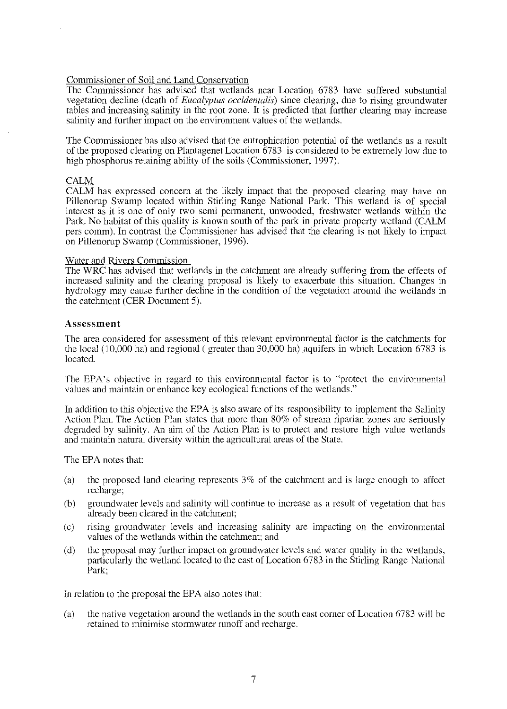### Commissioner of Soil and Land Conservation

The Commissioner has advised that wetlands near Location 6783 have suffered substantial vegetation decline (death of *Eucalyptus occidentalis)* since clearing, due to rising groundwater tables and increasing salinity in the root zone. It is predicted that further clearing may increase salinity and further impact on the environment values of the wetlands.

The Commissioner has also advised that the eutrophication potential of the wetlands as a result of the proposed clearing on Plantagenet Location 6783 is considered to be extremely low due to high phosphorus retaining ability of the soils (Commissioner, 1997).

#### CALM

CALM has expressed concern at the likely impact that the proposed clearing may have on Pillenorup Swamp located within Stirling Range National Park. This wetland is of special interest as it is one of only two semi permanent, unwooded, freshwater wetlands within the Park. No habitat of this quality is known south of the park in private property wetland (CALM pers comm). In contrast the Commissioner has advised that the clearing is not likely to impact on Pillenorup Swamp (Commissioner, 1996).

## Water and Rivers Commission

The WRC has advised that wetlands in the catchment are already suffering from the effects of increased salinity and the clearing proposal is likely to exacerbate this situation. Changes in hydrology may cause further decline in the condition of the vegetation around the wetlands in the catchment (CER Document 5).

#### **Assessment**

The area considered for assessment of this relevant environmental factor is the catchments for the local  $(10,000 \text{ ha})$  and regional (greater than 30,000 ha) aquifers in which Location 6783 is located.

The EPA's objective in regard to this environmental factor is to "protect the environmental values and maintain or enhance key ecological functions of the wetlands."

In addition to this objective the EPA is also aware of its responsibility to implement the Salinity Action Plan. The Action Plan states that more than 80% of stream riparian zones are seriously degraded by salinity. An aim of the Action Plan is to protect and restore high value wetlands and maintain natural diversity within the agricultural areas of the State.

The EPA notes that:

- (a) the proposed land clearing represents 3% of the catchment and is large enough to affect recharge;
- (b) groundwater levels and salinity will continue to increase as a result of vegetation that has already been cleared in the catchment;
- (c) rising groundwater levels and increasing salinity are impacting on the environmental values of the wetlands within the catchment; and
- (d) the proposal may further impact on groundwater levels and water quality in the wetlands, particularly the wetland located to the east of Location 6783 in the Stirling Range National Park;

In relation to the proposal the EPA also notes that:

(a) the native vegetation around the wetlands in the south east corner of Location 6783 will be retained to minimise storrnwater runoff and recharge.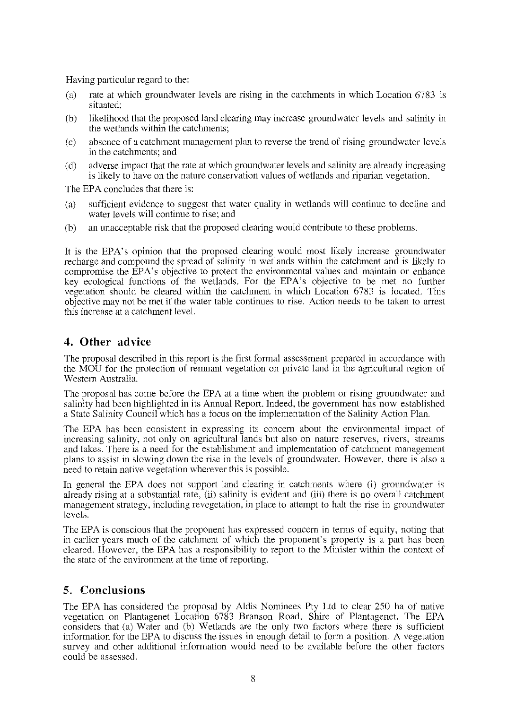Having particular regard to the:

- (a) rate at which gronndwater levels are rising in the catchments in which Location 6783 1s situated;
- (b) likelihood that the proposed land clearing may increase ground water levels and salinity in the wetlands within the catchments;
- (c) absence of a catchment management plan to reverse the trend of rising ground water levels in the catchments; and
- (d) adverse impact that the rate at which groundwater levels and salinity are already increasing is likely to have on the nature conservation values of wetlands and riparian vegetation.

The EPA concludes that there is:

- (a) sufficient evidence to suggest that water quality in wetlands will continue to decline and water levels will continue to rise; and
- (b) an unacceptable risk that the proposed clearing would contribute to these problems.

It is the EPA's opinion that the proposed clearing would most likely increase groundwater recharge and compound the spread of salinity in wetlands within the catchment and is likely to compromise the EPA's objective to protect the environmental values and maintain or enhance key ecological functions of the wetlands. For the EPA's objective to be met no further vegetation should be cleared within the catchment in which Location 6783 is located. This objective may not be met if the water table continues to rise. Action needs to be taken to arrest this increase at a catchment level.

# **4. Other advice**

The proposal described in this report is the first formal assessment prepared in accordance with the MOU for the protection of remnant vegetation on private land in the agricultural region of Western Australia.

The proposal has come before the EPA at a time when the problem or rising ground water and salinity had been highlighted in its Annual Report. Indeed, the government has now established a State Salinity Council which has a focus on the implementation of the Salinity Action Plan.

The EPA has been consistent in expressing its concern about the environmental impact of increasing salinity, not only on agricultural lands but also on nature reserves, rivers, streams and lakes. There is a need for the establishment and implementation of catchment management plans to assist in slowing down the rise in the levels of ground water. However, there is also a need to retain native vegetation wherever this is possible.

In general the EPA does not support land clearing in catchments where (i) groundwater is already rising at a substantial rate, (ii) salinity is evident and (iii) there is no overall catchment management strategy, including revcgctation, in place to attempt to halt the rise in ground water levels.

The EPA is conscious that the proponent has expressed concern in terms of equity, noting that in earlier years much of the catchment of which the proponent's property is a part has been cleared. However, the EPA has a responsibility to report to the Minister within the context of the state of the environment at the time of reporting.

# **5. Conclusions**

The EPA has considered the proposal by Aldis Nominees Pty Ltd to clear 250 ha of native vegetation on Plantagenet Location 6783 Branson Road, Shire of Plantagenet. The EPA considers that (a) Water and (b) Wetlands are the only two factors where there is sufficient information for the EPA to discuss the issues in enough detail to form a position. A vegetation survey and other additional information would need to be available before the other factors could be assessed.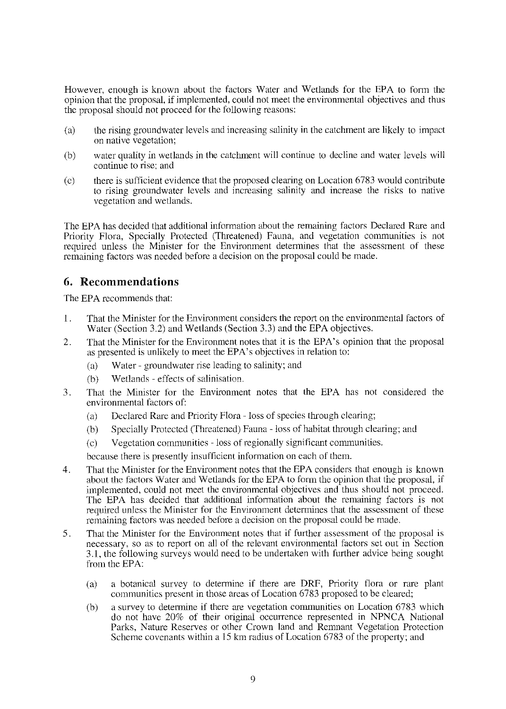However, enough is known about the factors Water and Wetlands for the EPA to fonn the opinion that the proposal, if implemented, could not meet the environmental objectives and thus the proposal should not proceed for the following reasons:

- (a) the rising groundwater levels and increasing salinity in the catchment are likely to impact on native vegetation;
- (b) water quality in wetlands in the catchment will continue to decline and water levels will continue to rise; and
- (c) there is sufficient evidence that the proposed clearing on Location 6783 would contribute to rising groundwater levels and increasing salinity and increase the risks to native vegetation and wetlands.

The EPA has decided that additional information about the remaining factors Declared Rare and Priority Flora, Specially Protected (Threatened) Fauna, and vegetation communities is not required unless the Minister for the Environment determines that the assessment of these remaining factors was needed before a decision on the proposal could be made.

# **6. Recommendations**

The EPA recommends that:

- 1. That the Minister for the Environment considers the report on the environmental factors of Water (Section 3.2) and Wetlands (Section 3.3) and the EPA objectives.
- 2. That the Minister for the Environment notes that it is the EPA's opinion that the proposal as presented is unlikely to meet the EPA's objectives in relation to:
	- (a) Water- groundwater rise leading to salinity; and
	- **(b) \Vet]ands- effects of salinisation.**
- 3. That the Minister for the Environment notes that the EPA has not considered the environmental factors of:
	- (a) Declared Rare and Priority Flora loss of species through clearing;
	- (b) Specially Protected (Threatened) Fauna- loss of habitat through clearing; and
	- (c) Vegetation communities -loss ofregionally significant communities.

because there is presently insufficient information on each of them.

- 4. That the Minister for the Environment notes that the EPA considers that enough is known about the factors Water and Wetlands for the EPA to form the opinion that the proposal, if implemented, could not meet the environmental objectives and thus should not proceed. The EPA has decided that additional information about the remaining factors is not required unless the Minister for the Environment determines that the assessment of these remaining factors was needed before a decision on the proposal could be made.
- 5 . That the Minister for the Environment notes that if further assessment of the proposal is necessary, so as to report on all of the relevant environmental factors set out in Section 3.1, the following surveys would need to be undertaken with further advice being sought from the EPA:
	- (a) a botanical survey to determine if there are DRF, Priority flora or rare plant communities present in those areas of Location 6783 proposed to be cleared;
	- (b) a survey to determine if there arc vegetation communities on Location 6783 which do not have 20% of their original occurrence represented in NPNCA National Parks, Nature Reserves or other Crown land and Remnant Vegetation Protection Scheme covenants within a 15 km radius of Location 6783 of the property; and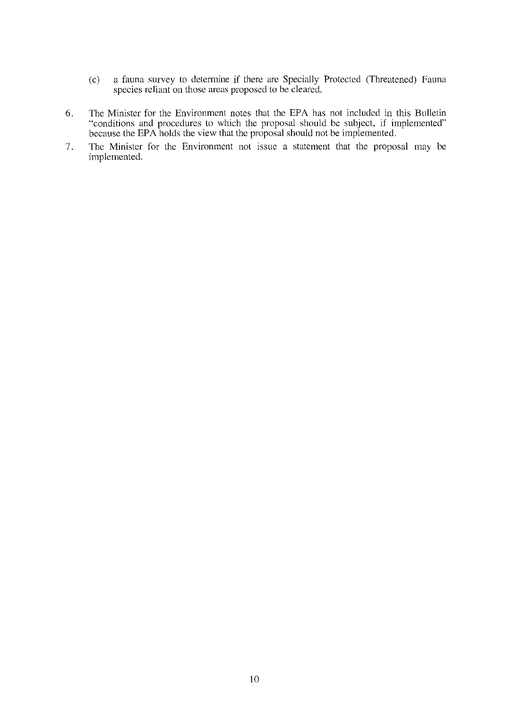- (c) a fauna survey to determine if there me Specially Protected (Threatened) Fauna species reliant on those areas proposed to be cleared.
- 6. The Minister for the Environment notes that the EPA has not included in this Bulletin "conditions and procedures to which the proposal should be subject, if implemented" because the EPA holds the view that the proposal should not be implemented.
- 7. The Minister for the Environment not issue a statement that the proposal may be implemented.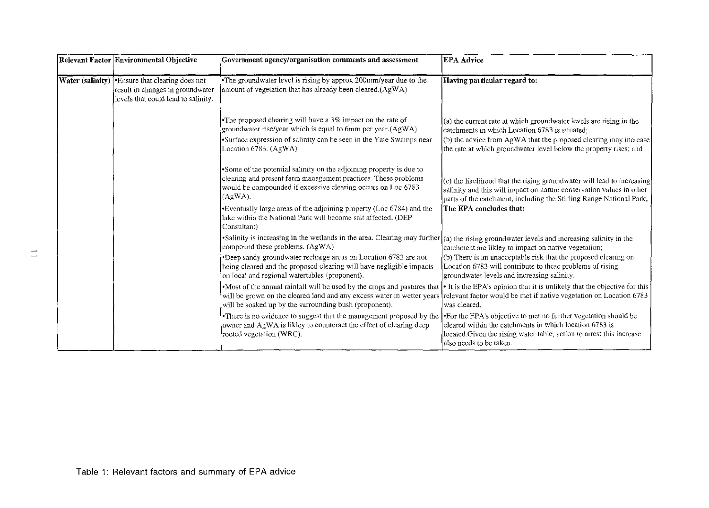| Relevant Factor Environmental Objective                                                                                            | Government agency/organisation comments and assessment                                                                                                                                                                                | <b>EPA Advice</b>                                                                                                                                                                                                                                             |
|------------------------------------------------------------------------------------------------------------------------------------|---------------------------------------------------------------------------------------------------------------------------------------------------------------------------------------------------------------------------------------|---------------------------------------------------------------------------------------------------------------------------------------------------------------------------------------------------------------------------------------------------------------|
| <b>Water (salinity) .</b> Ensure that clearing does not<br>result in changes in groundwater<br>levels that could lead to salinity. | •The groundwater level is rising by approx 200mm/year due to the<br>amount of vegetation that has already been cleared.(AgWA)                                                                                                         | Having particular regard to:                                                                                                                                                                                                                                  |
|                                                                                                                                    | •The proposed clearing will have a 3% impact on the rate of<br>groundwater rise/year which is equal to 6mm per year.(AgWA)<br>•Surface expression of salinity can be seen in the Yate Swamps near<br>Location 6783. (AgWA)            | (a) the current rate at which groundwater levels are rising in the<br>catchments in which Location 6783 is situated;<br>(b) the advice from AgWA that the proposed clearing may increase<br>the rate at which groundwater level below the property rises; and |
|                                                                                                                                    | •Some of the potential salinity on the adjoining property is due to<br>clearing and present farm management practices. These problems<br>would be compounded if excessive clearing occurs on Loc 6783<br>$(AgWA)$ .                   | (c) the likelihood that the rising groundwater will lead to increasing<br>salinity and this will impact on nature conservation values in other<br>parts of the catchment, including the Stirling Range National Park,                                         |
|                                                                                                                                    | •Eventually large areas of the adjoining property (Loc 6784) and the<br>lake within the National Park will become salt affected. (DEP<br>Consultant)                                                                                  | The EPA concludes that:                                                                                                                                                                                                                                       |
|                                                                                                                                    | •Salinity is increasing in the wetlands in the area. Clearing may further $ (a)$ the rising groundwater levels and increasing salinity in the<br>compound these problems. (AgWA)                                                      | catchment are likley to impact on native vegetation;                                                                                                                                                                                                          |
|                                                                                                                                    | •Deep sandy groundwater recharge areas on Location 6783 are not<br>being cleared and the proposed clearing will have negligible impacts<br>on local and regional watertables (proponent).                                             | (b) There is an unacceptable risk that the proposed clearing on<br>Location 6783 will contribute to these problems of rising<br>groundwater levels and increasing salinity.                                                                                   |
|                                                                                                                                    | •Most of the annual rainfall will be used by the crops and pastures that<br>will be grown on the cleared land and any excess water in wetter years<br>will be soaked up by the surrounding bush (proponent).                          | It is the EPA's opinion that it is unlikely that the objective for this<br>relevant factor would be met if native vegetation on Location 6783<br>was cleared.                                                                                                 |
|                                                                                                                                    | •There is no evidence to suggest that the management proposed by the For the EPA's objective to met no further vegetation should be<br>owner and AgWA is likley to counteract the effect of clearing deep<br>rooted vegetation (WRC). | cleared within the catchments in which location 6783 is<br>located Given the rising water table, action to arrest this increase<br>also needs to be taken.                                                                                                    |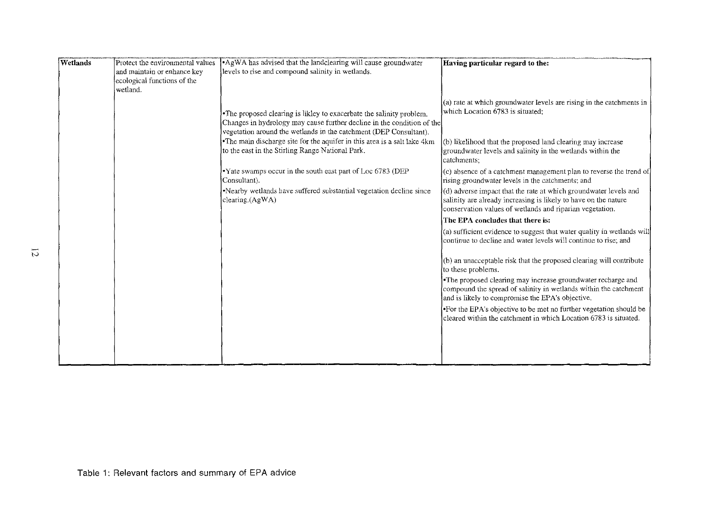| Wetlands | Protect the environmental values<br>and maintain or enhance key<br>ecological functions of the | • AgWA has advised that the landclearing will cause groundwater<br>levels to rise and compound salinity in wetlands.                                                                                                                                                                                                                                | Having particular regard to the:                                                                                                                                                                                                                                                                                                         |
|----------|------------------------------------------------------------------------------------------------|-----------------------------------------------------------------------------------------------------------------------------------------------------------------------------------------------------------------------------------------------------------------------------------------------------------------------------------------------------|------------------------------------------------------------------------------------------------------------------------------------------------------------------------------------------------------------------------------------------------------------------------------------------------------------------------------------------|
|          | wetland.                                                                                       | •The proposed clearing is likley to exacerbate the salinity problem.<br>Changes in hydrology may cause further decline in the condition of the<br>vegetation around the wetlands in the catchment (DEP Consultant).<br>•The main discharge site for the aquifer in this area is a salt lake 4km<br>to the east in the Stirling Range National Park. | (a) rate at which groundwater levels are rising in the catchments in<br>which Location 6783 is situated:<br>(b) likelihood that the proposed land clearing may increase<br>groundwater levels and salinity in the wetlands within the                                                                                                    |
|          |                                                                                                | •Yate swamps occur in the south east part of Loc 6783 (DEP<br>Consultant).<br>•Nearby wetlands have suffered substantial vegetation decline since<br>clearing.(AgWA)                                                                                                                                                                                | catchments;<br>(c) absence of a catchment management plan to reverse the trend of<br>rising groundwater levels in the catchments; and<br>(d) adverse impact that the rate at which groundwater levels and<br>salinity are already increasing is likely to have on the nature<br>conservation values of wetlands and riparian vegetation. |
|          |                                                                                                |                                                                                                                                                                                                                                                                                                                                                     | The EPA concludes that there is:<br>(a) sufficient evidence to suggest that water quality in wetlands will<br>continue to decline and water levels will continue to rise; and                                                                                                                                                            |
|          |                                                                                                |                                                                                                                                                                                                                                                                                                                                                     | (b) an unacceptable risk that the proposed clearing will contribute<br>to these problems.<br>•The proposed clearing may increase groundwater recharge and<br>compound the spread of salinity in wetlands within the catchment<br>and is likely to compromise the EPA's objective.                                                        |
|          |                                                                                                |                                                                                                                                                                                                                                                                                                                                                     | •For the EPA's objective to be met no further vegetation should be<br>cleared within the catchment in which Location 6783 is situated.                                                                                                                                                                                                   |
|          |                                                                                                |                                                                                                                                                                                                                                                                                                                                                     |                                                                                                                                                                                                                                                                                                                                          |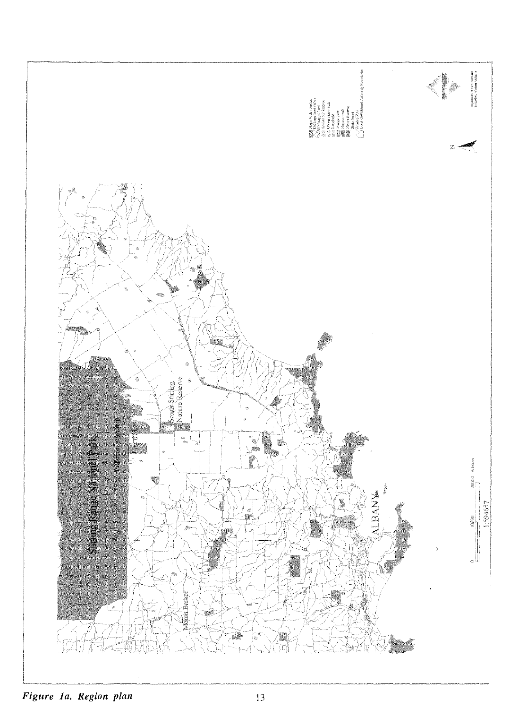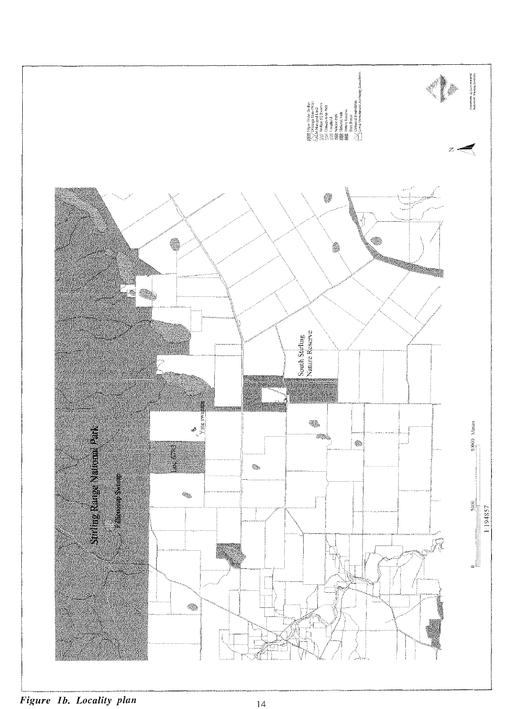

**Figure 1b. Locality plan** 14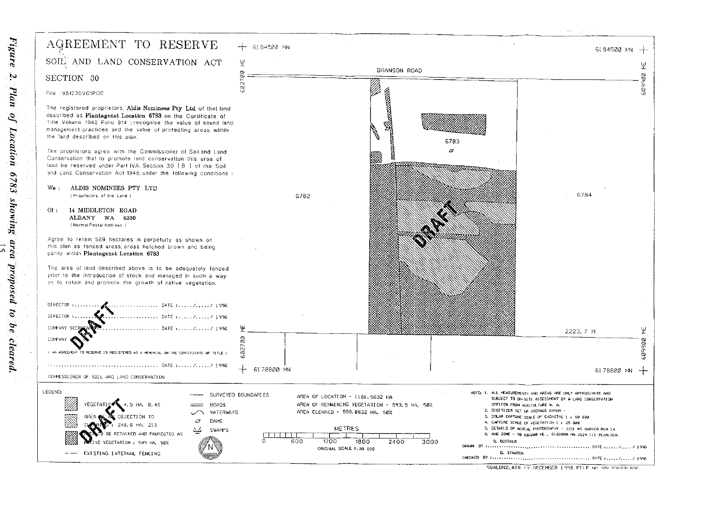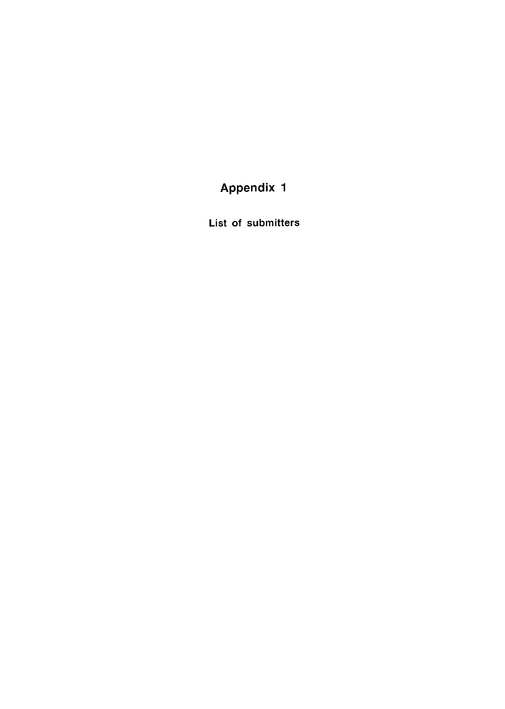# Appendix 1

List of submitters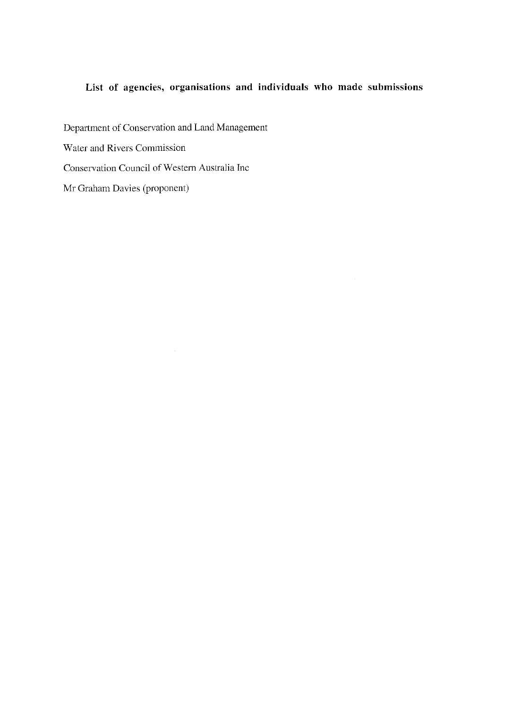# **List of agencies, organisations and individuals who made submissions**

Department of Conservation and Land Management Water and Rivers Commission Conservation Council of Western Australia Inc Mr Graham Davies (proponent)

 $\mathcal{A}_{\mathcal{A}}$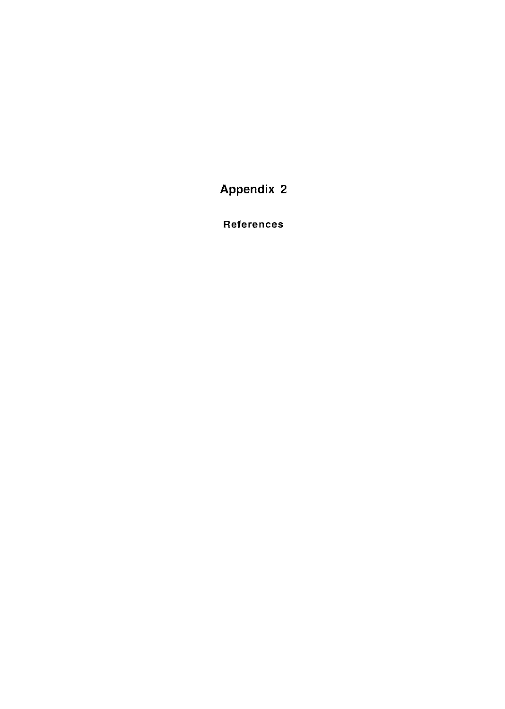Appendix 2

References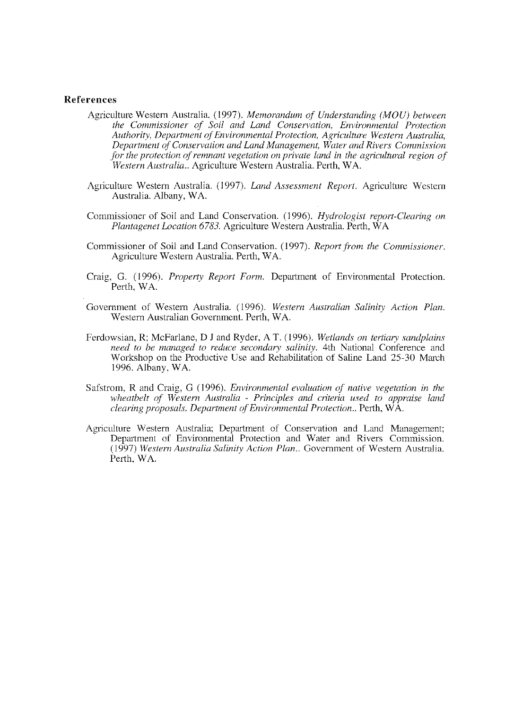#### **References**

- Agriculture Western Australia. (1997). *Memorandum of Understanding (MOU) between the Commissioner of Soil and Land Conservation, Environmental Protection Authority, Department ()f Environmental Protection, Agriculture Western Australia, Department of Conservation and Land Management, Water and Rivers Commission for the protection of remnant vegetation on private land in the agricultural region of Western Australia..* Agriculture Western Australia. Perth, WA.
- Agriculture Western Australia. (1997). *Land Assessment Report.* Agriculture Western Australia. Albany, WA.
- Commissioner of Soil and Land Conservation. (1996). *Hydrologist report-Clearing on Plantagenet Location 6783.* Agriculture Western Australia. Perth,  $\hat{W}A$
- Commissioner of Soil and Land Conservation. (1997). *Report from the Commissioner.*  Agriculture Western Australia. Perth, WA.
- Craig, G. (1996). *Property Report Form.* Department of Environmental Protection. Perth, WA.
- Government of Western Australia. ( 1996). *Western Australian Salinity Action Plan.*  Western Australian Government. Perth, WA.
- Fcrdowsian, R; McFarlane, DJ and Ryder, AT. (1996). *Wetlands on tertiary sandplains need to be managed to reduce secondary salinity.* 4th National Conference and Workshop on the Productive Use and Rehabilitation of Saline Land 25-30 March 1996. Albany, WA.
- Safstrom, Rand Craig, G (1996). *Environmental evaluation of' native vegetation in the wheatbelt of Western Australia* - *Principles and criteria used to appraise land clearing proposals. Department of Environmental Protection ..* Perth, W A.
- Agriculture Western Australia; Department of Conservation and Land Management; Department of Environmental Protection and Water and Rivers Commission. (1997) *Western Australia Salinity Action Plan.*, Government of Western Australia. Perth, WA.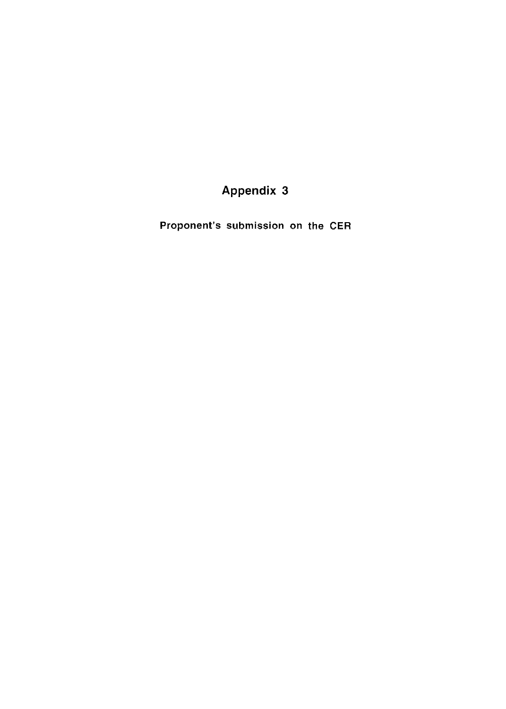# **Appendix 3**

Proponent's submission on the CER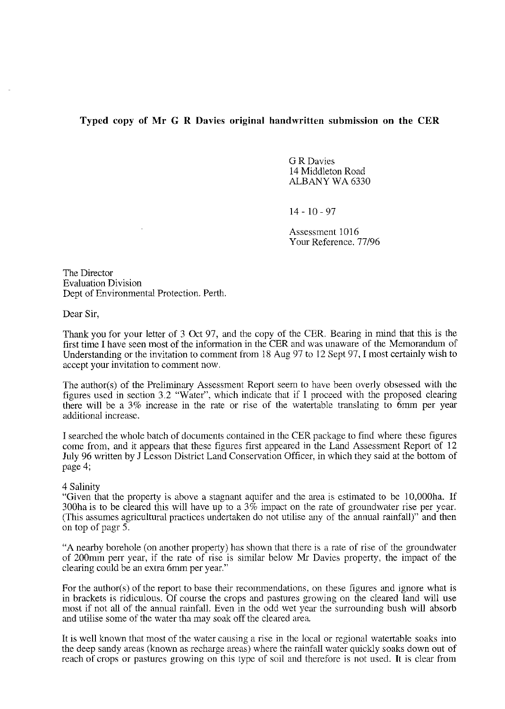## **Typed copy of Mr G R Davies original handwritten submission on the CER**

**G R Davies** 14 Middleton Road ALBANY WA 6330

14-10-97

Assessment 1016 Your Reference. 77/96

The Director Evaluation Division Dept of Environmental Protection. Perth.

Dear Sir,

Thank you for your letter of 3 Oct 97, and the copy of the CER. Bearing in mind that this is the first time I have seen most of the information in the CER and was unaware of the Memorandum of Understanding or the invitation to comment from 18 Aug 97 to 12 Sept 97, I most certainly wish to accept your invitation to connnent now.

The author(s) of the Preliminary Assessment Report seem to have been overly obsessed with the figures used in section 3.2 "Water", which indicate that if I proceed with the proposed clearing there will be a 3% increase in the rate or rise of the watertable translating to 6mm per year additional increase.

I searched the whole batch of documents contained in the CER package to find where these figures come from, and it appears that these figures first appeared in the Land Assessment Report of 12 July 96 written by J Lesson District Land Conservation Officer, in which they said at the bottom of page 4;

#### 4 Salinity

"Given that the property is above a stagnant aquifer and the area is estimated to be I O,OOOha. If 300ha is to be cleared this will have up to a  $3\%$  impact on the rate of groundwater rise per year. (This assumes agricultural practices undertaken do not utilise any of the annual rainfall)" and then on top of pagr 5.

"A nearby borehole (on another property) has shown that there is a rate of rise of the groundwater of 200nnn perr year, if the rate of rise is similar below Mr Davies property, the impact of the clearing could be an extra 6mm per year."

For the author(s) of the report to base their recommendations, on these figures and ignore what is in brackets is ridiculous. Of course the crops and pastures growing on the cleared land will use most if not all of the annual rainfall. Even in the odd wet year the surrounding bush will absorb and utilise some of the water tha may soak off the cleared area.

It is well known that most of the water causing a rise in the local or regional watertable soaks into the deep sandy areas (known as recharge areas) where the rainfall water quickly soaks down out of reach of crops or pastures growing on this type of soil and therefore is not used. It is clear from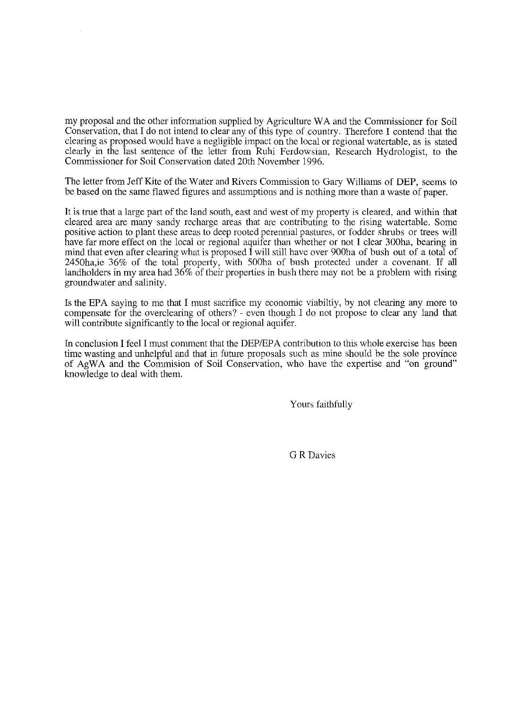my proposal and the other information supplied by Agriculture W A and the Commissioner for Soil Conservation, that I do not intend to clear any of this type of country. Therefore I contend that the clearing as proposed would have a negligible impact on the local or regional watertable, as is stated clearly in the last sentence of the letter from Ruhi Ferdowsian, Research Hydrologist, to the Commissioner for Soil Conservation dated 20th November 1996.

The letter from Jeff Kite of the Water and Rivers Commission to Gary Williams of DEP, seems to be based on the same flawed figures and assumptions and is nothing more than a waste of paper.

It is true that a large part of the land south, east and west of my property is cleared, and within that cleared area are many sandy recharge areas that are contributing to the rising watertable. Some positive action to plant these areas to deep rooted perennial pastures, or fodder shrubs or trees will have far more effect on the local or regional aquifer than whether or not I clear 300ha, bearing in mind that even after clearing what is proposed I will still have over 900ha of bush out of a total of 2450ha,ie 36% of the total property, with 500ha of bush protected under a covenant. If all landholders in my area had 36% of their properties in bush there may not be a problem with rising groundwater and salinity.

Is the EPA saying to me that I must sacrifice my economic viabiltiy, by not clearing any more to compensate for the overclearing of others? - even though I do not propose to clear any land that will contribute significantly to the local or regional aquifer.

In conclusion I feel I must comment that the DEP/EPA contribution to this whole exercise has been time wasting and unhelpful and that in future proposals such as mine should be the sole province of AgWA and the Commision of Soil Conservation, who have the expertise and "on ground" knowledge to deal with them.

Yours faithfully

G R Davies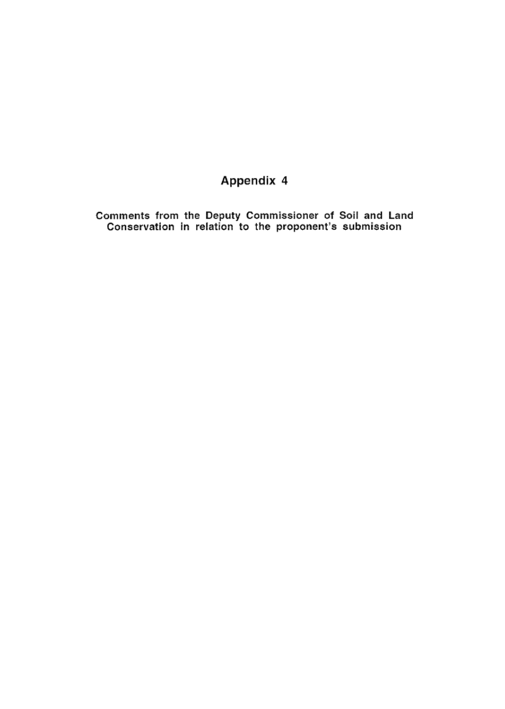# **Appendix 4**

Comments from the Deputy Commissioner of Soil and Land Conservation in relation to the proponent's submission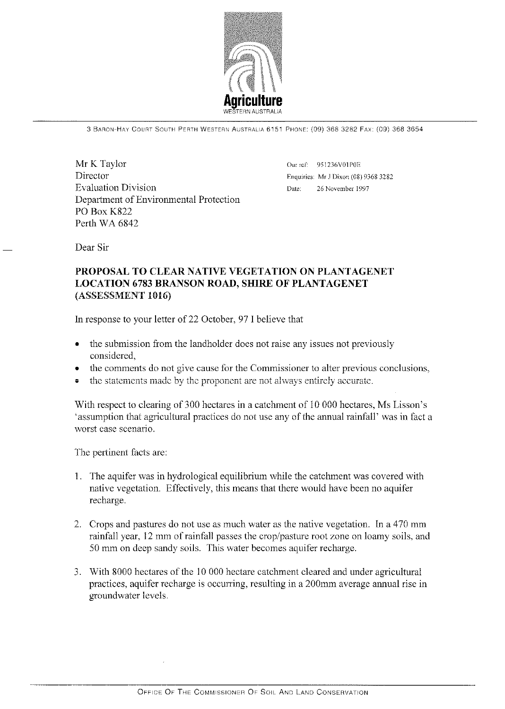

3 BARON-HAY Courn SOUTH PERTH WESTEnN AUSTRALIA 6151 PHONE: (09) 368 3282 FAX: (09) 368 3654

Mr K Taylor Director Evaluation Division Department of Environmental Protection PO Box K822 Perth WA 6842

Our ref: 951236V01P0E Enquiries: Mr J Dixon (08) 9368 3282 Date: 26 November 1997

Dear Sir

## PROPOSAL TO CLEAR NATIVE VEGETATION ON PLANTAGENET LOCATION 6783 BRANSON ROAD, SHIRE OF PLANTAGENET (ASSESSMENT 1016)

In response to your letter of 22 October, 97 I believe that

- the submission from the landholder does not raise any issues not previously considered,
- the comments do not give cause for the Commissioner to alter previous conclusions,
- the statements made by the proponent are not always entirely accurate.

With respect to clearing of 300 hectares in a catchment of 10 000 hectares, Ms Lisson's 'assumption that agricultural practices do not use any of the annual rainfall' was in fact a worst case scenario.

The pertinent facts are:

- 1. The aquifer was in hydrological equilibrium while the catchment was covered with native vegetation. Effectively, this means that there would have been no aquifer recharge.
- 2. Crops and pastures do not use as much water as the native vegetation. In a 470 mm rainfall year, 12 mm of rainfall passes the crop/pasture root zone on loamy soils, and 50 mm on deep sandy soils. This water becomes aquifer recharge.
- 3. With 8000 hectares of the 10 000 hectare catchment cleared and under agricultural practices, aquifer recharge is occurring, resulting in a 200mm average annual rise in groundwater levels.